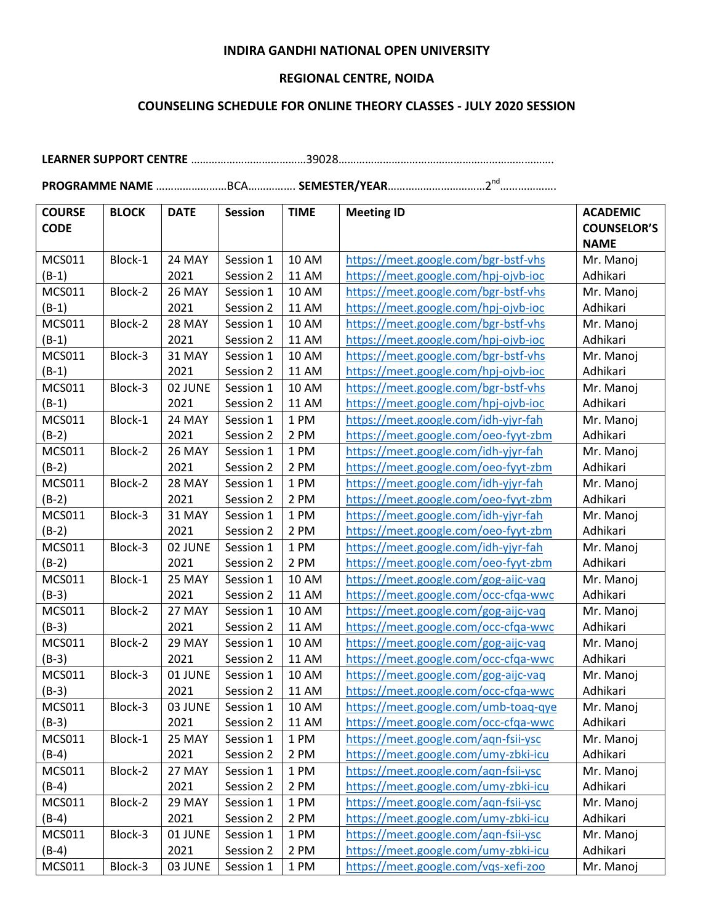## **INDIRA GANDHI NATIONAL OPEN UNIVERSITY**

## **REGIONAL CENTRE, NOIDA**

## **COUNSELING SCHEDULE FOR ONLINE THEORY CLASSES - JULY 2020 SESSION**

**LEARNER SUPPORT CENTRE** …………………………………39028……………………………………………………………….

**PROGRAMME NAME** ……………………BCA……………. **SEMESTER/YEAR**……………………………2nd……………….

| <b>COURSE</b> | <b>BLOCK</b> | <b>DATE</b>   | <b>Session</b> | <b>TIME</b>  | <b>Meeting ID</b>                    | <b>ACADEMIC</b>    |
|---------------|--------------|---------------|----------------|--------------|--------------------------------------|--------------------|
| <b>CODE</b>   |              |               |                |              |                                      | <b>COUNSELOR'S</b> |
|               |              |               |                |              |                                      | <b>NAME</b>        |
| <b>MCS011</b> | Block-1      | 24 MAY        | Session 1      | <b>10 AM</b> | https://meet.google.com/bgr-bstf-vhs | Mr. Manoj          |
| $(B-1)$       |              | 2021          | Session 2      | <b>11 AM</b> | https://meet.google.com/hpj-ojvb-ioc | Adhikari           |
| MCS011        | Block-2      | <b>26 MAY</b> | Session 1      | 10 AM        | https://meet.google.com/bgr-bstf-vhs | Mr. Manoj          |
| $(B-1)$       |              | 2021          | Session 2      | <b>11 AM</b> | https://meet.google.com/hpj-ojvb-ioc | Adhikari           |
| <b>MCS011</b> | Block-2      | 28 MAY        | Session 1      | <b>10 AM</b> | https://meet.google.com/bgr-bstf-vhs | Mr. Manoj          |
| $(B-1)$       |              | 2021          | Session 2      | <b>11 AM</b> | https://meet.google.com/hpj-ojvb-ioc | Adhikari           |
| MCS011        | Block-3      | 31 MAY        | Session 1      | <b>10 AM</b> | https://meet.google.com/bgr-bstf-vhs | Mr. Manoj          |
| $(B-1)$       |              | 2021          | Session 2      | 11 AM        | https://meet.google.com/hpj-ojvb-ioc | Adhikari           |
| <b>MCS011</b> | Block-3      | 02 JUNE       | Session 1      | <b>10 AM</b> | https://meet.google.com/bgr-bstf-vhs | Mr. Manoj          |
| $(B-1)$       |              | 2021          | Session 2      | 11 AM        | https://meet.google.com/hpj-ojvb-ioc | Adhikari           |
| <b>MCS011</b> | Block-1      | 24 MAY        | Session 1      | 1 PM         | https://meet.google.com/idh-yjyr-fah | Mr. Manoj          |
| $(B-2)$       |              | 2021          | Session 2      | 2 PM         | https://meet.google.com/oeo-fyyt-zbm | Adhikari           |
| <b>MCS011</b> | Block-2      | <b>26 MAY</b> | Session 1      | 1 PM         | https://meet.google.com/idh-yjyr-fah | Mr. Manoj          |
| $(B-2)$       |              | 2021          | Session 2      | 2 PM         | https://meet.google.com/oeo-fyyt-zbm | Adhikari           |
| MCS011        | Block-2      | 28 MAY        | Session 1      | 1 PM         | https://meet.google.com/idh-yjyr-fah | Mr. Manoj          |
| $(B-2)$       |              | 2021          | Session 2      | 2 PM         | https://meet.google.com/oeo-fyyt-zbm | Adhikari           |
| MCS011        | Block-3      | 31 MAY        | Session 1      | 1 PM         | https://meet.google.com/idh-yjyr-fah | Mr. Manoj          |
| $(B-2)$       |              | 2021          | Session 2      | 2 PM         | https://meet.google.com/oeo-fyyt-zbm | Adhikari           |
| <b>MCS011</b> | Block-3      | 02 JUNE       | Session 1      | 1 PM         | https://meet.google.com/idh-yjyr-fah | Mr. Manoj          |
| $(B-2)$       |              | 2021          | Session 2      | 2 PM         | https://meet.google.com/oeo-fyyt-zbm | Adhikari           |
| MCS011        | Block-1      | 25 MAY        | Session 1      | 10 AM        | https://meet.google.com/gog-aijc-vaq | Mr. Manoj          |
| $(B-3)$       |              | 2021          | Session 2      | <b>11 AM</b> | https://meet.google.com/occ-cfqa-wwc | Adhikari           |
| <b>MCS011</b> | Block-2      | 27 MAY        | Session 1      | <b>10 AM</b> | https://meet.google.com/gog-aijc-vaq | Mr. Manoj          |
| $(B-3)$       |              | 2021          | Session 2      | <b>11 AM</b> | https://meet.google.com/occ-cfqa-wwc | Adhikari           |
| MCS011        | Block-2      | 29 MAY        | Session 1      | 10 AM        | https://meet.google.com/gog-aijc-vaq | Mr. Manoj          |
| $(B-3)$       |              | 2021          | Session 2      | <b>11 AM</b> | https://meet.google.com/occ-cfqa-wwc | Adhikari           |
| <b>MCS011</b> | Block-3      | 01 JUNE       | Session 1      | <b>10 AM</b> | https://meet.google.com/gog-aijc-vaq | Mr. Manoj          |
| $(B-3)$       |              | 2021          | Session 2      | 11 AM        | https://meet.google.com/occ-cfqa-wwc | Adhikari           |
| MCS011        | Block-3      | 03 JUNE       | Session 1      | <b>10 AM</b> | https://meet.google.com/umb-toaq-qye | Mr. Manoj          |
| $(B-3)$       |              | 2021          | Session 2      | <b>11 AM</b> | https://meet.google.com/occ-cfqa-wwc | Adhikari           |
| MCS011        | Block-1      | 25 MAY        | Session 1      | 1 PM         | https://meet.google.com/aqn-fsii-ysc | Mr. Manoj          |
| $(B-4)$       |              | 2021          | Session 2      | 2 PM         | https://meet.google.com/umy-zbki-icu | Adhikari           |
| MCS011        | Block-2      | 27 MAY        | Session 1      | 1 PM         | https://meet.google.com/aqn-fsii-ysc | Mr. Manoj          |
| $(B-4)$       |              | 2021          | Session 2      | 2 PM         | https://meet.google.com/umy-zbki-icu | Adhikari           |
| MCS011        | Block-2      | 29 MAY        | Session 1      | 1 PM         | https://meet.google.com/aqn-fsii-ysc | Mr. Manoj          |
| $(B-4)$       |              | 2021          | Session 2      | 2 PM         | https://meet.google.com/umy-zbki-icu | Adhikari           |
| MCS011        | Block-3      | 01 JUNE       | Session 1      | 1 PM         | https://meet.google.com/aqn-fsii-ysc | Mr. Manoj          |
| $(B-4)$       |              | 2021          | Session 2      | 2 PM         | https://meet.google.com/umy-zbki-icu | Adhikari           |
| MCS011        | Block-3      | 03 JUNE       | Session 1      | 1 PM         | https://meet.google.com/vqs-xefi-zoo | Mr. Manoj          |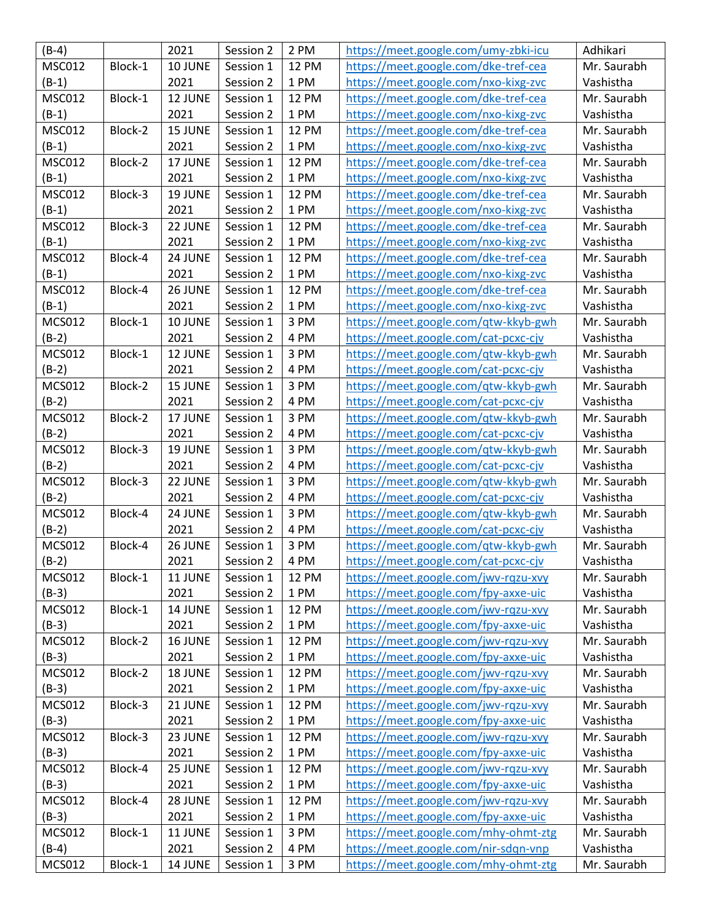| $(B-4)$       |         | 2021    | Session 2 | 2 PM         | https://meet.google.com/umy-zbki-icu | Adhikari    |
|---------------|---------|---------|-----------|--------------|--------------------------------------|-------------|
| <b>MSC012</b> | Block-1 | 10 JUNE | Session 1 | <b>12 PM</b> | https://meet.google.com/dke-tref-cea | Mr. Saurabh |
| $(B-1)$       |         | 2021    | Session 2 | 1 PM         | https://meet.google.com/nxo-kixg-zvc | Vashistha   |
| <b>MSC012</b> | Block-1 | 12 JUNE | Session 1 | <b>12 PM</b> | https://meet.google.com/dke-tref-cea | Mr. Saurabh |
| $(B-1)$       |         | 2021    | Session 2 | 1 PM         | https://meet.google.com/nxo-kixg-zvc | Vashistha   |
| <b>MSC012</b> | Block-2 | 15 JUNE | Session 1 | <b>12 PM</b> | https://meet.google.com/dke-tref-cea | Mr. Saurabh |
| $(B-1)$       |         | 2021    | Session 2 | 1 PM         | https://meet.google.com/nxo-kixg-zvc | Vashistha   |
| <b>MSC012</b> | Block-2 | 17 JUNE | Session 1 | <b>12 PM</b> | https://meet.google.com/dke-tref-cea | Mr. Saurabh |
| $(B-1)$       |         | 2021    | Session 2 | 1 PM         | https://meet.google.com/nxo-kixg-zvc | Vashistha   |
| <b>MSC012</b> | Block-3 | 19 JUNE | Session 1 | <b>12 PM</b> | https://meet.google.com/dke-tref-cea | Mr. Saurabh |
| $(B-1)$       |         | 2021    | Session 2 | 1 PM         | https://meet.google.com/nxo-kixg-zvc | Vashistha   |
| <b>MSC012</b> | Block-3 | 22 JUNE | Session 1 | <b>12 PM</b> | https://meet.google.com/dke-tref-cea | Mr. Saurabh |
| $(B-1)$       |         | 2021    | Session 2 | 1 PM         | https://meet.google.com/nxo-kixg-zvc | Vashistha   |
| <b>MSC012</b> | Block-4 | 24 JUNE | Session 1 | <b>12 PM</b> | https://meet.google.com/dke-tref-cea | Mr. Saurabh |
| $(B-1)$       |         | 2021    | Session 2 | 1 PM         | https://meet.google.com/nxo-kixg-zvc | Vashistha   |
| <b>MSC012</b> | Block-4 | 26 JUNE | Session 1 | <b>12 PM</b> | https://meet.google.com/dke-tref-cea | Mr. Saurabh |
| $(B-1)$       |         | 2021    | Session 2 | 1 PM         | https://meet.google.com/nxo-kixg-zvc | Vashistha   |
| <b>MCS012</b> | Block-1 | 10 JUNE | Session 1 | 3 PM         | https://meet.google.com/qtw-kkyb-gwh | Mr. Saurabh |
| $(B-2)$       |         | 2021    | Session 2 | 4 PM         | https://meet.google.com/cat-pcxc-cjv | Vashistha   |
| <b>MCS012</b> | Block-1 | 12 JUNE | Session 1 | 3 PM         | https://meet.google.com/qtw-kkyb-gwh | Mr. Saurabh |
| $(B-2)$       |         | 2021    | Session 2 | 4 PM         | https://meet.google.com/cat-pcxc-cjv | Vashistha   |
| <b>MCS012</b> | Block-2 | 15 JUNE | Session 1 | 3 PM         | https://meet.google.com/qtw-kkyb-gwh | Mr. Saurabh |
| $(B-2)$       |         | 2021    | Session 2 | 4 PM         | https://meet.google.com/cat-pcxc-cjv | Vashistha   |
| <b>MCS012</b> | Block-2 | 17 JUNE | Session 1 | 3 PM         | https://meet.google.com/qtw-kkyb-gwh | Mr. Saurabh |
| $(B-2)$       |         | 2021    | Session 2 | 4 PM         | https://meet.google.com/cat-pcxc-cjv | Vashistha   |
| <b>MCS012</b> | Block-3 | 19 JUNE | Session 1 | 3 PM         | https://meet.google.com/qtw-kkyb-gwh | Mr. Saurabh |
| $(B-2)$       |         | 2021    | Session 2 | 4 PM         | https://meet.google.com/cat-pcxc-cjv | Vashistha   |
| <b>MCS012</b> | Block-3 | 22 JUNE | Session 1 | 3 PM         | https://meet.google.com/qtw-kkyb-gwh | Mr. Saurabh |
| $(B-2)$       |         | 2021    | Session 2 | 4 PM         | https://meet.google.com/cat-pcxc-cjv | Vashistha   |
| <b>MCS012</b> | Block-4 | 24 JUNE | Session 1 | 3 PM         | https://meet.google.com/qtw-kkyb-gwh | Mr. Saurabh |
| $(B-2)$       |         | 2021    | Session 2 | 4 PM         | https://meet.google.com/cat-pcxc-cjv | Vashistha   |
| <b>MCS012</b> | Block-4 | 26 JUNE | Session 1 | 3 PM         | https://meet.google.com/qtw-kkyb-gwh | Mr. Saurabh |
| $(B-2)$       |         | 2021    | Session 2 | 4 PM         | https://meet.google.com/cat-pcxc-cjv | Vashistha   |
| <b>MCS012</b> | Block-1 | 11 JUNE | Session 1 | <b>12 PM</b> | https://meet.google.com/jwv-rqzu-xvy | Mr. Saurabh |
| $(B-3)$       |         | 2021    | Session 2 | 1 PM         | https://meet.google.com/fpy-axxe-uic | Vashistha   |
| <b>MCS012</b> | Block-1 | 14 JUNE | Session 1 | <b>12 PM</b> | https://meet.google.com/jwv-rqzu-xvy | Mr. Saurabh |
| $(B-3)$       |         | 2021    | Session 2 | 1 PM         | https://meet.google.com/fpy-axxe-uic | Vashistha   |
| <b>MCS012</b> | Block-2 | 16 JUNE | Session 1 | <b>12 PM</b> | https://meet.google.com/jwv-rqzu-xvy | Mr. Saurabh |
| $(B-3)$       |         | 2021    | Session 2 | 1 PM         | https://meet.google.com/fpy-axxe-uic | Vashistha   |
| <b>MCS012</b> | Block-2 | 18 JUNE | Session 1 | <b>12 PM</b> | https://meet.google.com/jwv-rqzu-xvy | Mr. Saurabh |
| $(B-3)$       |         | 2021    | Session 2 | 1 PM         | https://meet.google.com/fpy-axxe-uic | Vashistha   |
| <b>MCS012</b> | Block-3 | 21 JUNE | Session 1 | <b>12 PM</b> | https://meet.google.com/jwv-rqzu-xvy | Mr. Saurabh |
| $(B-3)$       |         | 2021    | Session 2 | 1 PM         | https://meet.google.com/fpy-axxe-uic | Vashistha   |
| <b>MCS012</b> | Block-3 | 23 JUNE | Session 1 | <b>12 PM</b> | https://meet.google.com/jwv-rqzu-xvy | Mr. Saurabh |
| $(B-3)$       |         | 2021    | Session 2 | 1 PM         | https://meet.google.com/fpy-axxe-uic | Vashistha   |
| <b>MCS012</b> | Block-4 | 25 JUNE | Session 1 | <b>12 PM</b> | https://meet.google.com/jwv-rqzu-xvy | Mr. Saurabh |
| $(B-3)$       |         | 2021    | Session 2 | 1 PM         | https://meet.google.com/fpy-axxe-uic | Vashistha   |
| <b>MCS012</b> | Block-4 | 28 JUNE | Session 1 | <b>12 PM</b> | https://meet.google.com/jwv-rqzu-xvy | Mr. Saurabh |
| $(B-3)$       |         | 2021    | Session 2 | 1 PM         | https://meet.google.com/fpy-axxe-uic | Vashistha   |
| <b>MCS012</b> | Block-1 | 11 JUNE | Session 1 | 3 PM         | https://meet.google.com/mhy-ohmt-ztg | Mr. Saurabh |
| $(B-4)$       |         | 2021    | Session 2 | 4 PM         | https://meet.google.com/nir-sdqn-vnp | Vashistha   |
| <b>MCS012</b> | Block-1 | 14 JUNE | Session 1 | 3 PM         | https://meet.google.com/mhy-ohmt-ztg | Mr. Saurabh |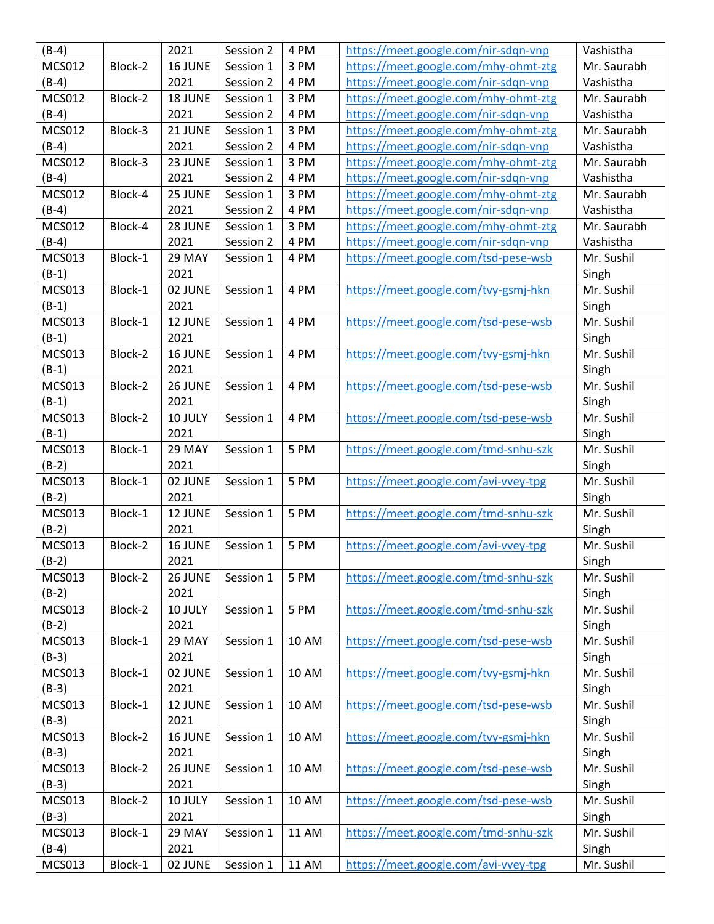| $(B-4)$       |         | 2021    | Session 2 | 4 PM  | https://meet.google.com/nir-sdqn-vnp | Vashistha   |
|---------------|---------|---------|-----------|-------|--------------------------------------|-------------|
| <b>MCS012</b> | Block-2 | 16 JUNE | Session 1 | 3 PM  | https://meet.google.com/mhy-ohmt-ztg | Mr. Saurabh |
| $(B-4)$       |         | 2021    | Session 2 | 4 PM  | https://meet.google.com/nir-sdqn-vnp | Vashistha   |
| <b>MCS012</b> | Block-2 | 18 JUNE | Session 1 | 3 PM  | https://meet.google.com/mhy-ohmt-ztg | Mr. Saurabh |
| $(B-4)$       |         | 2021    | Session 2 | 4 PM  | https://meet.google.com/nir-sdqn-vnp | Vashistha   |
| <b>MCS012</b> | Block-3 | 21 JUNE | Session 1 | 3 PM  | https://meet.google.com/mhy-ohmt-ztg | Mr. Saurabh |
| $(B-4)$       |         | 2021    | Session 2 | 4 PM  | https://meet.google.com/nir-sdqn-vnp | Vashistha   |
| <b>MCS012</b> | Block-3 | 23 JUNE | Session 1 | 3 PM  | https://meet.google.com/mhy-ohmt-ztg | Mr. Saurabh |
| $(B-4)$       |         | 2021    | Session 2 | 4 PM  | https://meet.google.com/nir-sdqn-vnp | Vashistha   |
| <b>MCS012</b> | Block-4 | 25 JUNE | Session 1 | 3 PM  | https://meet.google.com/mhy-ohmt-ztg | Mr. Saurabh |
| $(B-4)$       |         | 2021    | Session 2 | 4 PM  | https://meet.google.com/nir-sdqn-vnp | Vashistha   |
| <b>MCS012</b> | Block-4 | 28 JUNE | Session 1 | 3 PM  | https://meet.google.com/mhy-ohmt-ztg | Mr. Saurabh |
| $(B-4)$       |         | 2021    | Session 2 | 4 PM  | https://meet.google.com/nir-sdqn-vnp | Vashistha   |
| <b>MCS013</b> | Block-1 | 29 MAY  | Session 1 | 4 PM  | https://meet.google.com/tsd-pese-wsb | Mr. Sushil  |
| $(B-1)$       |         | 2021    |           |       |                                      | Singh       |
| <b>MCS013</b> | Block-1 | 02 JUNE | Session 1 | 4 PM  | https://meet.google.com/tvy-gsmj-hkn | Mr. Sushil  |
| $(B-1)$       |         | 2021    |           |       |                                      | Singh       |
| <b>MCS013</b> | Block-1 | 12 JUNE | Session 1 | 4 PM  | https://meet.google.com/tsd-pese-wsb | Mr. Sushil  |
| $(B-1)$       |         | 2021    |           |       |                                      | Singh       |
| <b>MCS013</b> | Block-2 | 16 JUNE | Session 1 | 4 PM  | https://meet.google.com/tvy-gsmj-hkn | Mr. Sushil  |
| $(B-1)$       |         | 2021    |           |       |                                      | Singh       |
| <b>MCS013</b> | Block-2 | 26 JUNE | Session 1 | 4 PM  | https://meet.google.com/tsd-pese-wsb | Mr. Sushil  |
| $(B-1)$       |         | 2021    |           |       |                                      | Singh       |
| <b>MCS013</b> | Block-2 | 10 JULY | Session 1 | 4 PM  | https://meet.google.com/tsd-pese-wsb | Mr. Sushil  |
| $(B-1)$       |         | 2021    |           |       |                                      | Singh       |
| <b>MCS013</b> | Block-1 | 29 MAY  | Session 1 | 5 PM  | https://meet.google.com/tmd-snhu-szk | Mr. Sushil  |
| $(B-2)$       |         | 2021    |           |       |                                      | Singh       |
| <b>MCS013</b> | Block-1 | 02 JUNE | Session 1 | 5 PM  | https://meet.google.com/avi-vvey-tpg | Mr. Sushil  |
| $(B-2)$       |         | 2021    |           |       |                                      | Singh       |
| <b>MCS013</b> | Block-1 | 12 JUNE | Session 1 | 5 PM  | https://meet.google.com/tmd-snhu-szk | Mr. Sushil  |
| $(B-2)$       |         | 2021    |           |       |                                      | Singh       |
| MCS013        | Block-2 | 16 JUNE | Session 1 | 5 PM  | https://meet.google.com/avi-vvey-tpg | Mr. Sushil  |
| $(B-2)$       |         | 2021    |           |       |                                      | Singh       |
| MCS013        | Block-2 | 26 JUNE | Session 1 | 5 PM  | https://meet.google.com/tmd-snhu-szk | Mr. Sushil  |
| $(B-2)$       |         | 2021    |           |       |                                      | Singh       |
| <b>MCS013</b> | Block-2 | 10 JULY | Session 1 | 5 PM  | https://meet.google.com/tmd-snhu-szk | Mr. Sushil  |
| $(B-2)$       |         | 2021    |           |       |                                      | Singh       |
| MCS013        | Block-1 | 29 MAY  | Session 1 | 10 AM | https://meet.google.com/tsd-pese-wsb | Mr. Sushil  |
| $(B-3)$       |         | 2021    |           |       |                                      | Singh       |
| <b>MCS013</b> | Block-1 | 02 JUNE | Session 1 | 10 AM | https://meet.google.com/tvy-gsmj-hkn | Mr. Sushil  |
| $(B-3)$       |         | 2021    |           |       |                                      | Singh       |
| <b>MCS013</b> | Block-1 | 12 JUNE | Session 1 | 10 AM | https://meet.google.com/tsd-pese-wsb | Mr. Sushil  |
| $(B-3)$       |         | 2021    |           |       |                                      | Singh       |
| <b>MCS013</b> | Block-2 | 16 JUNE | Session 1 | 10 AM | https://meet.google.com/tvy-gsmj-hkn | Mr. Sushil  |
| $(B-3)$       |         | 2021    |           |       |                                      | Singh       |
| <b>MCS013</b> | Block-2 | 26 JUNE | Session 1 | 10 AM | https://meet.google.com/tsd-pese-wsb | Mr. Sushil  |
| $(B-3)$       |         | 2021    |           |       |                                      | Singh       |
| <b>MCS013</b> | Block-2 | 10 JULY | Session 1 | 10 AM | https://meet.google.com/tsd-pese-wsb | Mr. Sushil  |
| $(B-3)$       |         | 2021    |           |       |                                      | Singh       |
| <b>MCS013</b> | Block-1 | 29 MAY  | Session 1 | 11 AM | https://meet.google.com/tmd-snhu-szk | Mr. Sushil  |
| $(B-4)$       |         | 2021    |           |       |                                      | Singh       |
| <b>MCS013</b> | Block-1 | 02 JUNE | Session 1 | 11 AM | https://meet.google.com/avi-vvey-tpg | Mr. Sushil  |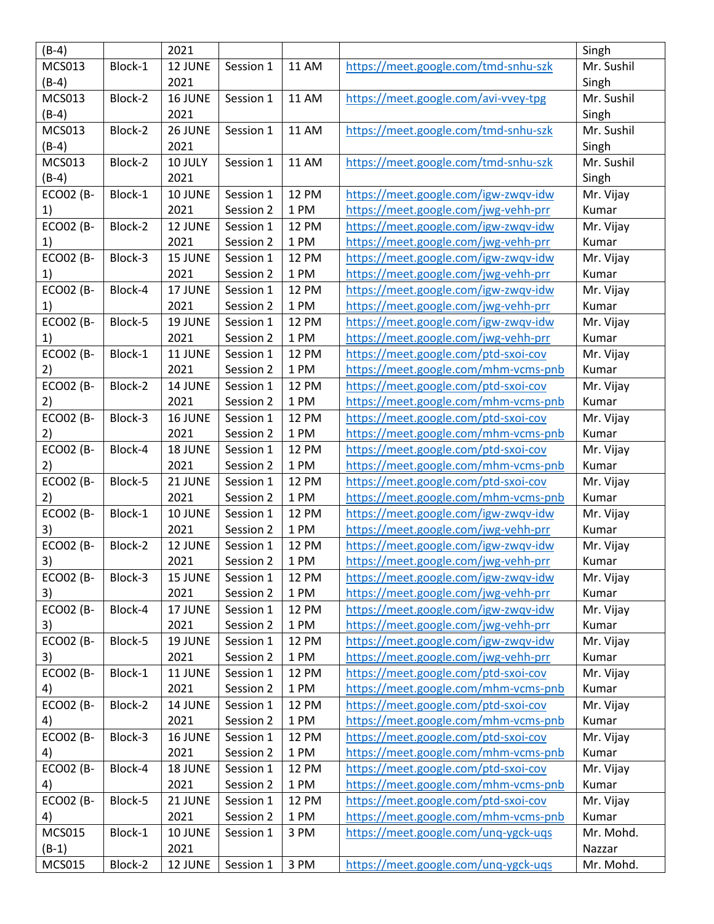| $(B-4)$          |         | 2021    |           |              |                                      | Singh      |
|------------------|---------|---------|-----------|--------------|--------------------------------------|------------|
| <b>MCS013</b>    | Block-1 | 12 JUNE | Session 1 | <b>11 AM</b> | https://meet.google.com/tmd-snhu-szk | Mr. Sushil |
| $(B-4)$          |         | 2021    |           |              |                                      | Singh      |
| <b>MCS013</b>    | Block-2 | 16 JUNE | Session 1 | <b>11 AM</b> | https://meet.google.com/avi-vvey-tpg | Mr. Sushil |
| $(B-4)$          |         | 2021    |           |              |                                      | Singh      |
| <b>MCS013</b>    | Block-2 | 26 JUNE | Session 1 | <b>11 AM</b> | https://meet.google.com/tmd-snhu-szk | Mr. Sushil |
| $(B-4)$          |         | 2021    |           |              |                                      | Singh      |
| MCS013           | Block-2 | 10 JULY | Session 1 | <b>11 AM</b> | https://meet.google.com/tmd-snhu-szk | Mr. Sushil |
| $(B-4)$          |         | 2021    |           |              |                                      | Singh      |
| <b>ECO02 (B-</b> | Block-1 | 10 JUNE | Session 1 | <b>12 PM</b> | https://meet.google.com/igw-zwqv-idw | Mr. Vijay  |
| 1)               |         | 2021    | Session 2 | 1 PM         | https://meet.google.com/jwg-vehh-prr | Kumar      |
| <b>ECO02 (B-</b> | Block-2 | 12 JUNE | Session 1 | <b>12 PM</b> | https://meet.google.com/igw-zwqv-idw | Mr. Vijay  |
| 1)               |         | 2021    | Session 2 | 1 PM         | https://meet.google.com/jwg-vehh-prr | Kumar      |
| <b>ECO02 (B-</b> | Block-3 | 15 JUNE | Session 1 | <b>12 PM</b> | https://meet.google.com/igw-zwqv-idw | Mr. Vijay  |
| 1)               |         | 2021    | Session 2 | 1 PM         | https://meet.google.com/jwg-vehh-prr | Kumar      |
| <b>ECO02 (B-</b> | Block-4 | 17 JUNE | Session 1 | <b>12 PM</b> | https://meet.google.com/igw-zwqv-idw | Mr. Vijay  |
| 1)               |         | 2021    | Session 2 | 1 PM         | https://meet.google.com/jwg-vehh-prr | Kumar      |
| <b>ECO02 (B-</b> | Block-5 | 19 JUNE | Session 1 | <b>12 PM</b> | https://meet.google.com/igw-zwqv-idw | Mr. Vijay  |
| 1)               |         | 2021    | Session 2 | 1 PM         | https://meet.google.com/jwg-vehh-prr | Kumar      |
| <b>ECO02 (B-</b> | Block-1 | 11 JUNE | Session 1 | <b>12 PM</b> | https://meet.google.com/ptd-sxoi-cov | Mr. Vijay  |
| 2)               |         | 2021    | Session 2 | 1 PM         | https://meet.google.com/mhm-vcms-pnb | Kumar      |
| <b>ECO02 (B-</b> | Block-2 | 14 JUNE | Session 1 | <b>12 PM</b> | https://meet.google.com/ptd-sxoi-cov | Mr. Vijay  |
| 2)               |         | 2021    | Session 2 | 1 PM         | https://meet.google.com/mhm-vcms-pnb | Kumar      |
| <b>ECO02 (B-</b> | Block-3 | 16 JUNE | Session 1 | <b>12 PM</b> | https://meet.google.com/ptd-sxoi-cov | Mr. Vijay  |
| 2)               |         | 2021    | Session 2 | 1 PM         | https://meet.google.com/mhm-vcms-pnb | Kumar      |
| <b>ECO02 (B-</b> | Block-4 | 18 JUNE | Session 1 | <b>12 PM</b> | https://meet.google.com/ptd-sxoi-cov | Mr. Vijay  |
| 2)               |         | 2021    | Session 2 | 1 PM         | https://meet.google.com/mhm-vcms-pnb | Kumar      |
| <b>ECO02 (B-</b> | Block-5 | 21 JUNE | Session 1 | <b>12 PM</b> | https://meet.google.com/ptd-sxoi-cov | Mr. Vijay  |
| 2)               |         | 2021    | Session 2 | 1 PM         | https://meet.google.com/mhm-vcms-pnb | Kumar      |
| <b>ECO02 (B-</b> | Block-1 | 10 JUNE | Session 1 | <b>12 PM</b> | https://meet.google.com/igw-zwqv-idw | Mr. Vijay  |
| 3)               |         | 2021    | Session 2 | 1 PM         | https://meet.google.com/jwg-vehh-prr | Kumar      |
| <b>ECO02 (B-</b> | Block-2 | 12 JUNE | Session 1 | <b>12 PM</b> | https://meet.google.com/igw-zwqv-idw | Mr. Vijay  |
| 3)               |         | 2021    | Session 2 | 1 PM         | https://meet.google.com/jwg-vehh-prr | Kumar      |
| <b>ECO02 (B-</b> | Block-3 | 15 JUNE | Session 1 | <b>12 PM</b> | https://meet.google.com/igw-zwqv-idw | Mr. Vijay  |
| 3)               |         | 2021    | Session 2 | 1 PM         | https://meet.google.com/jwg-vehh-prr | Kumar      |
| <b>ECO02 (B-</b> | Block-4 | 17 JUNE | Session 1 | <b>12 PM</b> | https://meet.google.com/igw-zwqv-idw | Mr. Vijay  |
| 3)               |         | 2021    | Session 2 | 1 PM         | https://meet.google.com/jwg-vehh-prr | Kumar      |
| <b>ECO02 (B-</b> | Block-5 | 19 JUNE | Session 1 | <b>12 PM</b> | https://meet.google.com/igw-zwqv-idw | Mr. Vijay  |
| 3)               |         | 2021    | Session 2 | 1 PM         | https://meet.google.com/jwg-vehh-prr | Kumar      |
| <b>ECO02 (B-</b> | Block-1 | 11 JUNE | Session 1 | <b>12 PM</b> | https://meet.google.com/ptd-sxoi-cov | Mr. Vijay  |
| 4)               |         | 2021    | Session 2 | 1 PM         | https://meet.google.com/mhm-vcms-pnb | Kumar      |
| <b>ECO02 (B-</b> | Block-2 | 14 JUNE | Session 1 | <b>12 PM</b> | https://meet.google.com/ptd-sxoi-cov | Mr. Vijay  |
| 4)               |         | 2021    | Session 2 | 1 PM         | https://meet.google.com/mhm-vcms-pnb | Kumar      |
| <b>ECO02 (B-</b> | Block-3 | 16 JUNE | Session 1 | <b>12 PM</b> | https://meet.google.com/ptd-sxoi-cov | Mr. Vijay  |
| 4)               |         | 2021    | Session 2 | 1 PM         | https://meet.google.com/mhm-vcms-pnb | Kumar      |
| <b>ECO02 (B-</b> | Block-4 | 18 JUNE | Session 1 | <b>12 PM</b> | https://meet.google.com/ptd-sxoi-cov | Mr. Vijay  |
| 4)               |         | 2021    | Session 2 | 1 PM         | https://meet.google.com/mhm-vcms-pnb | Kumar      |
| <b>ECO02 (B-</b> | Block-5 | 21 JUNE | Session 1 | <b>12 PM</b> | https://meet.google.com/ptd-sxoi-cov | Mr. Vijay  |
| 4)               |         | 2021    | Session 2 | 1 PM         | https://meet.google.com/mhm-vcms-pnb | Kumar      |
| <b>MCS015</b>    | Block-1 | 10 JUNE | Session 1 | 3 PM         | https://meet.google.com/unq-ygck-uqs | Mr. Mohd.  |
| $(B-1)$          |         | 2021    |           |              |                                      | Nazzar     |
| <b>MCS015</b>    | Block-2 | 12 JUNE | Session 1 | 3 PM         | https://meet.google.com/unq-ygck-uqs | Mr. Mohd.  |